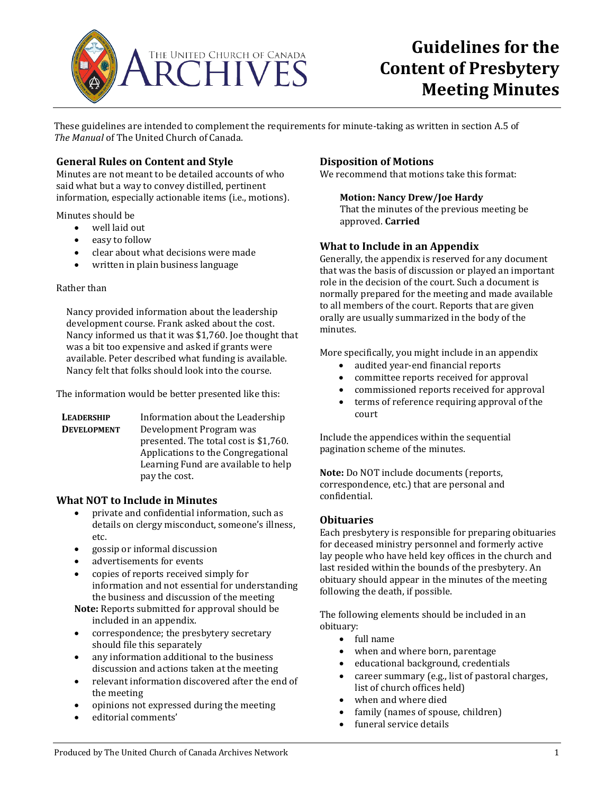

# **Guidelines for the Content of Presbytery Meeting Minutes**

These guidelines are intended to complement the requirements for minute-taking as written in section A.5 of *The Manual* of The United Church of Canada.

## **General Rules on Content and Style**

Minutes are not meant to be detailed accounts of who said what but a way to convey distilled, pertinent information, especially actionable items (i.e., motions).

Minutes should be

- well laid out
- easy to follow
- clear about what decisions were made<br>• written in plain business language
- written in plain business language

#### Rather than

Nancy provided information about the leadership development course. Frank asked about the cost. Nancy informed us that it was \$1,760. Joe thought that was a bit too expensive and asked if grants were available. Peter described what funding is available. Nancy felt that folks should look into the course.

The information would be better presented like this:

| <b>LEADERSHIP</b>  | Information about the Leadership      |
|--------------------|---------------------------------------|
| <b>DEVELOPMENT</b> | Development Program was               |
|                    | presented. The total cost is \$1,760. |
|                    | Applications to the Congregational    |
|                    | Learning Fund are available to help   |
|                    | pay the cost.                         |

## **What NOT to Include in Minutes**

- private and confidential information, such as details on clergy misconduct, someone's illness, etc.
- gossip or informal discussion
- advertisements for events
- copies of reports received simply for information and not essential for understanding the business and discussion of the meeting
- **Note:** Reports submitted for approval should be included in an appendix.
- correspondence; the presbytery secretary should file this separately
- any information additional to the business discussion and actions taken at the meeting
- relevant information discovered after the end of the meeting
- opinions not expressed during the meeting
- editorial comments'

## **Disposition of Motions**

We recommend that motions take this format:

## **Motion: Nancy Drew/Joe Hardy**

That the minutes of the previous meeting be approved. **Carried**

## **What to Include in an Appendix**

Generally, the appendix is reserved for any document that was the basis of discussion or played an important role in the decision of the court. Such a document is normally prepared for the meeting and made available to all members of the court. Reports that are given orally are usually summarized in the body of the minutes.

More specifically, you might include in an appendix

- audited year-end financial reports
- committee reports received for approval<br>• commissioned reports received for appro
- commissioned reports received for approval<br>• terms of reference requiring approval of the
- terms of reference requiring approval of the court

Include the appendices within the sequential pagination scheme of the minutes.

**Note:** Do NOT include documents (reports, correspondence, etc.) that are personal and confidential.

## **Obituaries**

Each presbytery is responsible for preparing obituaries for deceased ministry personnel and formerly active lay people who have held key offices in the church and last resided within the bounds of the presbytery. An obituary should appear in the minutes of the meeting following the death, if possible.

The following elements should be included in an obituary:

- full name
- when and where born, parentage
- educational background, credentials
- career summary (e.g., list of pastoral charges, list of church offices held)
- when and where died
- family (names of spouse, children)<br>• funeral service details
- funeral service details